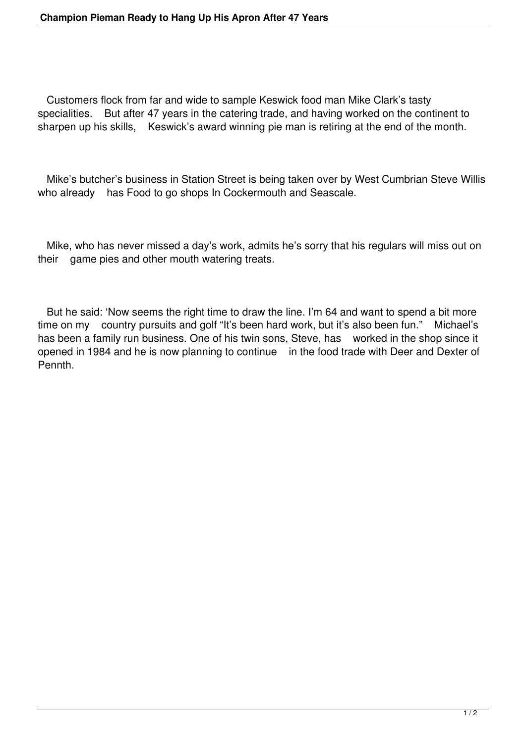Customers flock from far and wide to sample Keswick food man Mike Clark's tasty specialities. But after 47 years in the catering trade, and having worked on the continent to sharpen up his skills, Keswick's award winning pie man is retiring at the end of the month.

 Mike's butcher's business in Station Street is being taken over by West Cumbrian Steve Willis who already has Food to go shops In Cockermouth and Seascale.

 Mike, who has never missed a day's work, admits he's sorry that his regulars will miss out on their game pies and other mouth watering treats.

 But he said: 'Now seems the right time to draw the line. I'm 64 and want to spend a bit more time on my country pursuits and golf "It's been hard work, but it's also been fun." Michael's has been a family run business. One of his twin sons, Steve, has worked in the shop since it opened in 1984 and he is now planning to continue in the food trade with Deer and Dexter of Pennth.